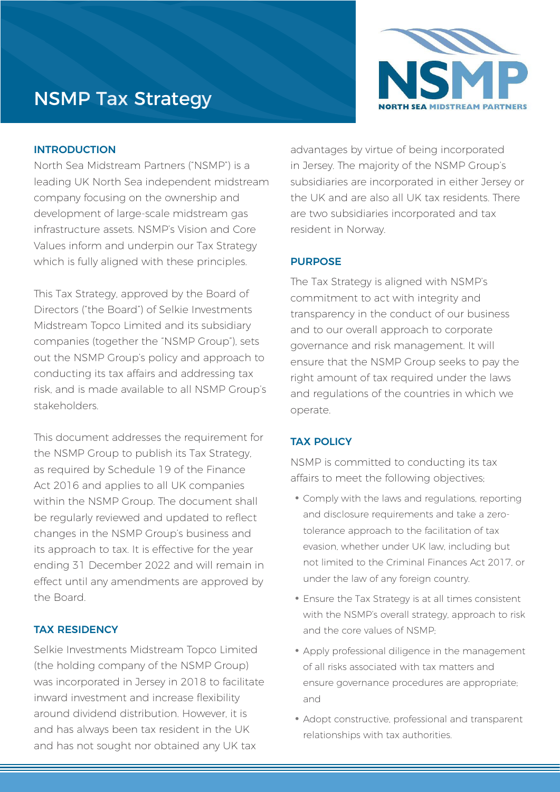# NSMP Tax Strategy



#### INTRODUCTION

North Sea Midstream Partners ("NSMP") is a leading UK North Sea independent midstream company focusing on the ownership and development of large-scale midstream gas infrastructure assets. NSMP's Vision and Core Values inform and underpin our Tax Strategy which is fully aligned with these principles.

This Tax Strategy, approved by the Board of Directors ("the Board") of Selkie Investments Midstream Topco Limited and its subsidiary companies (together the "NSMP Group"), sets out the NSMP Group's policy and approach to conducting its tax affairs and addressing tax risk, and is made available to all NSMP Group's stakeholders.

This document addresses the requirement for the NSMP Group to publish its Tax Strategy, as required by Schedule 19 of the Finance Act 2016 and applies to all UK companies within the NSMP Group. The document shall be regularly reviewed and updated to reflect changes in the NSMP Group's business and its approach to tax. It is effective for the year ending 31 December 2022 and will remain in effect until any amendments are approved by the Board.

## TAX RESIDENCY

Selkie Investments Midstream Topco Limited (the holding company of the NSMP Group) was incorporated in Jersey in 2018 to facilitate inward investment and increase flexibility around dividend distribution. However, it is and has always been tax resident in the UK and has not sought nor obtained any UK tax

advantages by virtue of being incorporated in Jersey. The majority of the NSMP Group's subsidiaries are incorporated in either Jersey or the UK and are also all UK tax residents. There are two subsidiaries incorporated and tax resident in Norway.

## PURPOSE

The Tax Strategy is aligned with NSMP's commitment to act with integrity and transparency in the conduct of our business and to our overall approach to corporate governance and risk management. It will ensure that the NSMP Group seeks to pay the right amount of tax required under the laws and regulations of the countries in which we operate.

#### TAX POLICY

NSMP is committed to conducting its tax affairs to meet the following objectives;

- Comply with the laws and regulations, reporting and disclosure requirements and take a zerotolerance approach to the facilitation of tax evasion, whether under UK law, including but not limited to the Criminal Finances Act 2017, or under the law of any foreign country.
- Ensure the Tax Strategy is at all times consistent with the NSMP's overall strategy, approach to risk and the core values of NSMP;
- Apply professional diligence in the management of all risks associated with tax matters and ensure governance procedures are appropriate; and
- Adopt constructive, professional and transparent relationships with tax authorities.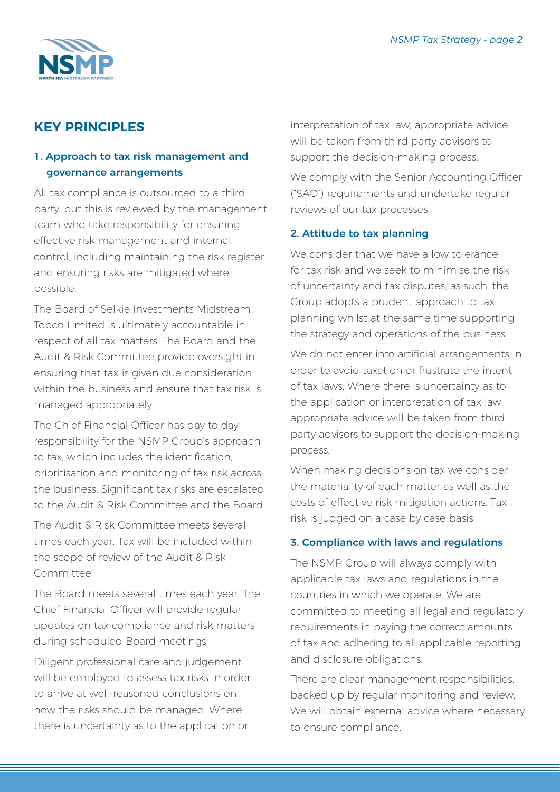

# **KEY PRINCIPLES**

# 1. Approach to tax risk management and governance arrangements

All tax compliance is outsourced to a third party, but this is reviewed by the management team who take responsibility for ensuring effective risk management and internal control, including maintaining the risk register and ensuring risks are mitigated where possible.

The Board of Selkie Investments Midstream Topco Limited is ultimately accountable in respect of all tax matters. The Board and the Audit & Risk Committee provide oversight in ensuring that tax is given due consideration within the business and ensure that tax risk is managed appropriately.

The Chief Financial Officer has day to day responsibility for the NSMP Group's approach to tax, which includes the identification, prioritisation and monitoring of tax risk across the business. Significant tax risks are escalated to the Audit & Risk Committee and the Board.

The Audit & Risk Committee meets several times each year. Tax will be included within the scope of review of the Audit & Risk Committee.

The Board meets several times each year. The Chief Financial Officer will provide regular updates on tax compliance and risk matters during scheduled Board meetings.

Diligent professional care and judgement will be employed to assess tax risks in order to arrive at well-reasoned conclusions on how the risks should be managed. Where there is uncertainty as to the application or

interpretation of tax law, appropriate advice will be taken from third party advisors to support the decision-making process.

We comply with the Senior Accounting Officer ("SAO") requirements and undertake regular reviews of our tax processes.

## 2. Attitude to tax planning

We consider that we have a low tolerance for tax risk and we seek to minimise the risk of uncertainty and tax disputes; as such, the Group adopts a prudent approach to tax planning whilst at the same time supporting the strategy and operations of the business.

We do not enter into artificial arrangements in order to avoid taxation or frustrate the intent of tax laws. Where there is uncertainty as to the application or interpretation of tax law, appropriate advice will be taken from third party advisors to support the decision-making process.

When making decisions on tax we consider the materiality of each matter as well as the costs of effective risk mitigation actions. Tax risk is judged on a case by case basis.

## 3. Compliance with laws and regulations

The NSMP Group will always comply with applicable tax laws and regulations in the countries in which we operate. We are committed to meeting all legal and regulatory requirements in paying the correct amounts of tax and adhering to all applicable reporting and disclosure obligations.

There are clear management responsibilities, backed up by regular monitoring and review. We will obtain external advice where necessary to ensure compliance.